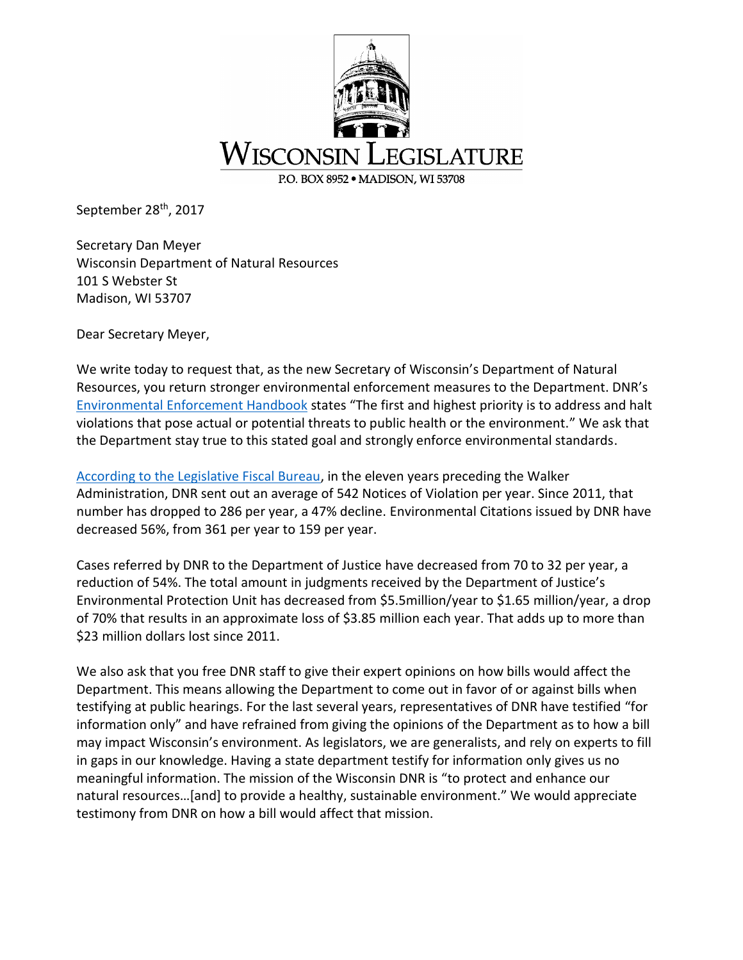

September 28<sup>th</sup>, 2017

Secretary Dan Meyer Wisconsin Department of Natural Resources 101 S Webster St Madison, WI 53707

Dear Secretary Meyer,

We write today to request that, as the new Secretary of Wisconsin's Department of Natural Resources, you return stronger environmental enforcement measures to the Department. DNR's [Environmental Enforcement Handbook](http://dnr.wi.gov/topic/EnvProtection/EEHandbook2-15-13.pdf) states "The first and highest priority is to address and halt violations that pose actual or potential threats to public health or the environment." We ask that the Department stay true to this stated goal and strongly enforce environmental standards.

[According to the Legislative Fiscal Bureau,](https://asm46-hebl.cms.legis.wisconsin.gov/media/1227/department-of-natural-resources-environmental-enforcement-data-updated-calendar-year-2000-through-calendar-year-2016.pdf) in the eleven years preceding the Walker Administration, DNR sent out an average of 542 Notices of Violation per year. Since 2011, that number has dropped to 286 per year, a 47% decline. Environmental Citations issued by DNR have decreased 56%, from 361 per year to 159 per year.

Cases referred by DNR to the Department of Justice have decreased from 70 to 32 per year, a reduction of 54%. The total amount in judgments received by the Department of Justice's Environmental Protection Unit has decreased from \$5.5million/year to \$1.65 million/year, a drop of 70% that results in an approximate loss of \$3.85 million each year. That adds up to more than \$23 million dollars lost since 2011.

We also ask that you free DNR staff to give their expert opinions on how bills would affect the Department. This means allowing the Department to come out in favor of or against bills when testifying at public hearings. For the last several years, representatives of DNR have testified "for information only" and have refrained from giving the opinions of the Department as to how a bill may impact Wisconsin's environment. As legislators, we are generalists, and rely on experts to fill in gaps in our knowledge. Having a state department testify for information only gives us no meaningful information. The mission of the Wisconsin DNR is "to protect and enhance our natural resources…[and] to provide a healthy, sustainable environment." We would appreciate testimony from DNR on how a bill would affect that mission.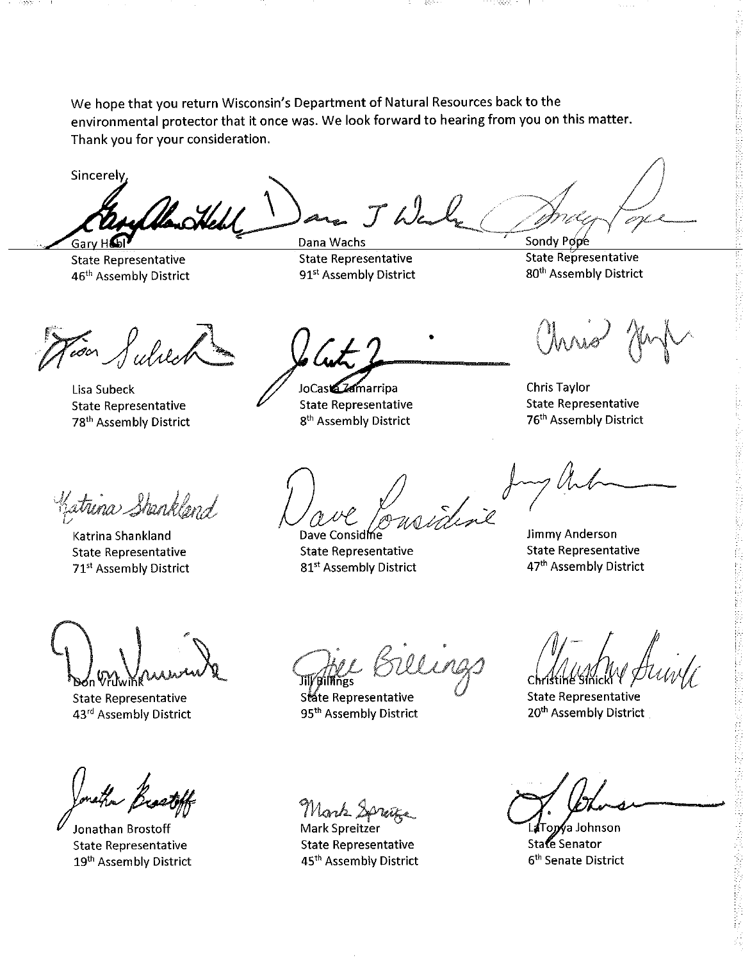We hope that you return Wisconsin's Department of Natural Resources back to the environmental protector that it once was. We look forward to hearing from you on this matter. Thank you for your consideration.

**Albert** 

Sincerely,

-5559

 $204$ Gary Ho

**State Representative** 46<sup>th</sup> Assembly District

 $-J\omega$ Dana Wachs **State Representative** 91<sup>st</sup> Assembly District

JoCas **Zamarripa** 

**State Representative** 

Sondy Pope State Representative 80<sup>th</sup> Assembly District

For Sulver

Lisa Subeck **State Representative** 78<sup>th</sup> Assembly District

8<sup>th</sup> Assembly District

 $\int_{\mathbb{R}}$ 

Dave Considine **State Representative** 81<sup>st</sup> Assembly District

**State Representative** 76<sup>th</sup> Assembly District

**Jimmy Anderson** 

**Chris Taylor** 

Chris Hr

Katrina Shankland

Katrina Shankland **State Representative** 71<sup>st</sup> Assembly District

**State Representative** 43rd Assembly District

Jonathan Brostoff **State Representative** 19th Assembly District

Jil/Billings State Representative 95<sup>th</sup> Assembly District

Mork Sprage

Mark Spreitzer **State Representative** 45<sup>th</sup> Assembly District

**State Representative** 47<sup>th</sup> Assembly District

**State Representative** 20<sup>th</sup> Assembly District

o*n*∮a Johnson State Senator 6<sup>th</sup> Senate District